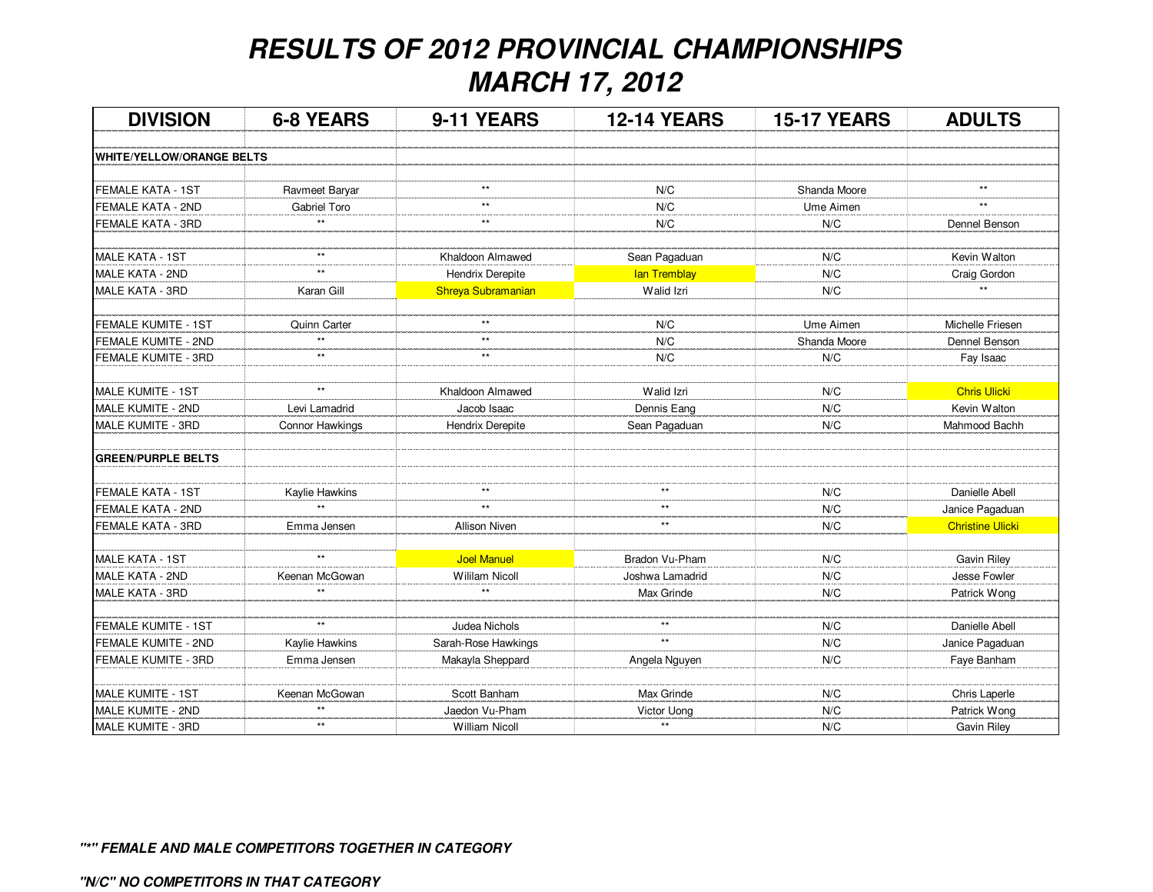## **RESULTS OF 2012 PROVINCIAL CHAMPIONSHIPSMARCH 17, 2012**

| <b>DIVISION</b>                  | <b>6-8 YEARS</b> | 9-11 YEARS              | <b>12-14 YEARS</b>  | <b>15-17 YEARS</b> | <b>ADULTS</b>           |
|----------------------------------|------------------|-------------------------|---------------------|--------------------|-------------------------|
| <b>WHITE/YELLOW/ORANGE BELTS</b> |                  |                         |                     |                    |                         |
|                                  |                  |                         |                     |                    |                         |
| FEMALE KATA - 1ST                | Ravmeet Baryar   | $\star\star$            | N/C                 | Shanda Moore       | $\star\star$            |
| <b>FEMALE KATA - 2ND</b>         | Gabriel Toro     | $**$                    | N/C                 | Ume Aimen          | $**$                    |
| FEMALE KATA - 3RD                | $\star\star$     | $\star\star$            | N/C                 | N/C                | Dennel Benson           |
| MALE KATA - 1ST                  | $\star\star$     | Khaldoon Almawed        | Sean Pagaduan       | N/C                | Kevin Walton            |
| MALE KATA - 2ND                  | $\star\star$     | <b>Hendrix Derepite</b> | <b>lan Tremblay</b> | N/C                | Craig Gordon            |
| MALE KATA - 3RD                  | Karan Gill       | Shreya Subramanian      | Walid Izri          | N/C                | $**$                    |
| FEMALE KUMITE - 1ST              | Quinn Carter     | $\star\star$            | N/C                 | Ume Aimen          | Michelle Friesen        |
| FEMALE KUMITE - 2ND              | $\star\star$     | $\star\star$            | N/C                 | Shanda Moore       | Dennel Benson           |
| FEMALE KUMITE - 3RD              | $\star\star$     | $^{\star\star}$         | N/C                 | N/C                | Fay Isaac               |
| MALE KUMITE - 1ST                | $\star\star$     | Khaldoon Almawed        | Walid Izri          | N/C                | <b>Chris Ulicki</b>     |
| MALE KUMITE - 2ND                | Levi Lamadrid    | Jacob Isaac             | Dennis Eang         | N/C                | Kevin Walton            |
| MALE KUMITE - 3RD                | Connor Hawkings  | <b>Hendrix Derepite</b> | Sean Pagaduan       | N/C                | Mahmood Bachh           |
| <b>GREEN/PURPLE BELTS</b>        |                  |                         |                     |                    |                         |
| FEMALE KATA - 1ST                | Kaylie Hawkins   | $\star\star$            | $\star\star$        | N/C                | Danielle Abell          |
| <b>FEMALE KATA - 2ND</b>         |                  | $\star\star$            | $***$               | N/C                | Janice Pagaduan         |
| <b>FEMALE KATA - 3RD</b>         | Emma Jensen      | <b>Allison Niven</b>    | $***$               | N/C                | <b>Christine Ulicki</b> |
| MALE KATA - 1ST                  | $**$             | <b>Joel Manuel</b>      | Bradon Vu-Pham      | N/C                | <b>Gavin Riley</b>      |
| <b>MALE KATA - 2ND</b>           | Keenan McGowan   | <b>Wililam Nicoll</b>   | Joshwa Lamadrid     | N/C                | Jesse Fowler            |
| MALE KATA - 3RD                  | $**$             | $\star\star$            | Max Grinde          | N/C                | Patrick Wong            |
| <b>FEMALE KUMITE - 1ST</b>       | $\star\star$     | Judea Nichols           | $\star\star$        | N/C                | Danielle Abell          |
| FEMALE KUMITE - 2ND              | Kaylie Hawkins   | Sarah-Rose Hawkings     | $\star\star$        | N/C                | Janice Pagaduan         |
| FEMALE KUMITE - 3RD              | Emma Jensen      | Makayla Sheppard        | Angela Nguyen       | N/C                | Faye Banham             |
| MALE KUMITE - 1ST                | Keenan McGowan   | Scott Banham            | Max Grinde          | N/C                | Chris Laperle           |
| MALE KUMITE - 2ND                | $\star\star$     | Jaedon Vu-Pham          | Victor Uong         | N/C                | Patrick Wong            |
| MALE KUMITE - 3RD                | $\star\star$     | <b>William Nicoll</b>   | $\star\star$        | N/C                | <b>Gavin Riley</b>      |

**"\*" FEMALE AND MALE COMPETITORS TOGETHER IN CATEGORY**

**"N/C" NO COMPETITORS IN THAT CATEGORY**